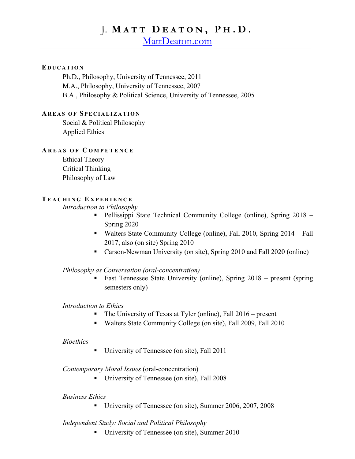# J. **M A T T D E A T O N , P H . D .**

[MattDeaton.com](https://mattdeaton.com/index.html)

### **E D U C A T I O N**

Ph.D., Philosophy, University of Tennessee, 2011 M.A., Philosophy, University of Tennessee, 2007 B.A., Philosophy & Political Science, University of Tennessee, 2005

#### **AR E A S O F S P E C I A L I Z A T I O N**

Social & Political Philosophy Applied Ethics

## **A R E A S O F C O M P E T E N C E**

Ethical Theory Critical Thinking Philosophy of Law

### **T E A C H I N G E X P E R I E N C E**

*Introduction to Philosophy*

- Pellissippi State Technical Community College (online), Spring 2018 Spring 2020
- Walters State Community College (online), Fall 2010, Spring 2014 Fall 2017; also (on site) Spring 2010
- Carson-Newman University (on site), Spring 2010 and Fall 2020 (online)

*Philosophy as Conversation (oral-concentration)*

■ East Tennessee State University (online), Spring 2018 – present (spring semesters only)

### *Introduction to Ethics*

- The University of Texas at Tyler (online), Fall 2016 present
- Walters State Community College (on site), Fall 2009, Fall 2010

#### *Bioethics*

■ University of Tennessee (on site), Fall 2011

*Contemporary Moral Issues* (oral-concentration)

■ University of Tennessee (on site), Fall 2008

## *Business Ethics*

■ University of Tennessee (on site), Summer 2006, 2007, 2008

## *Independent Study: Social and Political Philosophy*

■ University of Tennessee (on site), Summer 2010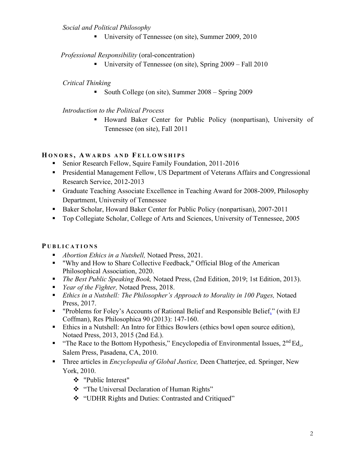## *Social and Political Philosophy*

■ University of Tennessee (on site), Summer 2009, 2010

# *Professional Responsibility* (oral-concentration)

**University of Tennessee (on site), Spring**  $2009 - \text{Fall } 2010$ 

# *Critical Thinking*

■ South College (on site), Summer 2008 – Spring 2009

# *Introduction to the Political Process*

▪ Howard Baker Center for Public Policy (nonpartisan), University of Tennessee (on site), Fall 2011

# **H O N O R S , A W A R D S A N D F E L L O W S H I P S**

- Senior Research Fellow, Squire Family Foundation, 2011-2016
- **Presidential Management Fellow, US Department of Veterans Affairs and Congressional** Research Service, 2012-2013
- Graduate Teaching Associate Excellence in Teaching Award for 2008-2009, Philosophy Department, University of Tennessee
- Baker Scholar, Howard Baker Center for Public Policy (nonpartisan), 2007-2011
- Top Collegiate Scholar, College of Arts and Sciences, University of Tennessee, 2005

# **P U B L I C A T I O N S**

- *Abortion Ethics in a Nutshell*, Notaed Press, 2021.
- "Why and How to Share Collective Feedback," Official Blog of the American Philosophical Association, 2020.
- *The Best Public Speaking Book,* Notaed Press, (2nd Edition, 2019; 1st Edition, 2013).
- *Year of the Fighter*, Notaed Press, 2018.
- *Ethics in a Nutshell: The Philosopher's Approach to Morality in 100 Pages, Notaed* Press, 2017.
- "Problems for Foley's Accounts of Rational Belief and Responsible Belief," (with EJ Coffman), Res Philosophica 90 (2013): 147-160.
- Ethics in a Nutshell: An Intro for Ethics Bowlers (ethics bowl open source edition), Notaed Press, 2013, 2015 (2nd Ed.).
- **•** "The Race to the Bottom Hypothesis," Encyclopedia of Environmental Issues,  $2<sup>nd</sup> Ed$ <sub>1</sub>, Salem Press, Pasadena, CA, 2010.
- Three articles in *Encyclopedia of Global Justice*, Deen Chatterjee, ed. Springer, New York, 2010.
	- ❖ "Public Interest"
	- ❖ "The Universal Declaration of Human Rights"
	- ❖ "UDHR Rights and Duties: Contrasted and Critiqued"